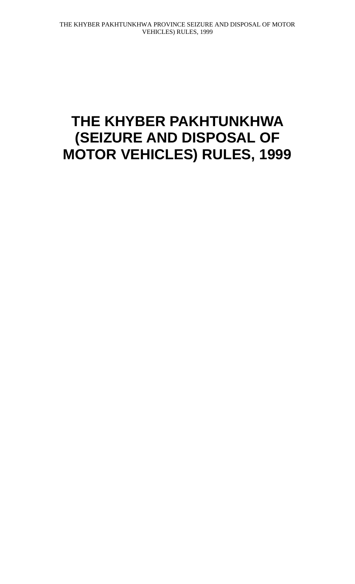## **THE KHYBER PAKHTUNKHWA (SEIZURE AND DISPOSAL OF MOTOR VEHICLES) RULES, 1999**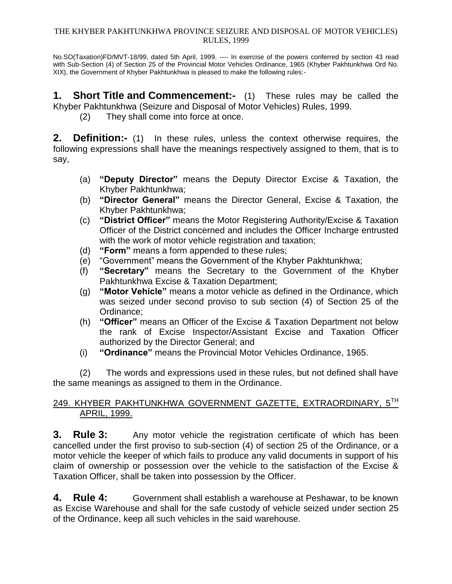## THE KHYBER PAKHTUNKHWA PROVINCE SEIZURE AND DISPOSAL OF MOTOR VEHICLES) RULES, 1999

No.SO(Taxation)FD/MVT-18/99, dated 5th April, 1999. ---- In exercise of the powers conferred by section 43 read with Sub-Section (4) of Section 25 of the Provincial Motor Vehicles Ordinance, 1965 (Khyber Pakhtunkhwa Ord No. XIX), the Government of Khyber Pakhtunkhwa is pleased to make the following rules:-

**1. Short Title and Commencement:-** (1) These rules may be called the Khyber Pakhtunkhwa (Seizure and Disposal of Motor Vehicles) Rules, 1999.

(2) They shall come into force at once.

**2. Definition:-** (1) In these rules, unless the context otherwise requires, the following expressions shall have the meanings respectively assigned to them, that is to say,

- (a) **"Deputy Director"** means the Deputy Director Excise & Taxation, the Khyber Pakhtunkhwa;
- (b) **"Director General"** means the Director General, Excise & Taxation, the Khyber Pakhtunkhwa;
- (c) **"District Officer"** means the Motor Registering Authority/Excise & Taxation Officer of the District concerned and includes the Officer Incharge entrusted with the work of motor vehicle registration and taxation;
- (d) **"Form"** means a form appended to these rules;
- (e) "Government" means the Government of the Khyber Pakhtunkhwa;
- (f) **"Secretary"** means the Secretary to the Government of the Khyber Pakhtunkhwa Excise & Taxation Department;
- (g) **"Motor Vehicle"** means a motor vehicle as defined in the Ordinance, which was seized under second proviso to sub section (4) of Section 25 of the Ordinance;
- (h) **"Officer"** means an Officer of the Excise & Taxation Department not below the rank of Excise Inspector/Assistant Excise and Taxation Officer authorized by the Director General; and
- (i) **"Ordinance"** means the Provincial Motor Vehicles Ordinance, 1965.

(2) The words and expressions used in these rules, but not defined shall have the same meanings as assigned to them in the Ordinance.

## 249. KHYBER PAKHTUNKHWA GOVERNMENT GAZETTE, EXTRAORDINARY, 5TH APRIL, 1999.

**3. Rule 3:** Any motor vehicle the registration certificate of which has been cancelled under the first proviso to sub-section (4) of section 25 of the Ordinance, or a motor vehicle the keeper of which fails to produce any valid documents in support of his claim of ownership or possession over the vehicle to the satisfaction of the Excise & Taxation Officer, shall be taken into possession by the Officer.

**4. Rule 4:** Government shall establish a warehouse at Peshawar, to be known as Excise Warehouse and shall for the safe custody of vehicle seized under section 25 of the Ordinance, keep all such vehicles in the said warehouse.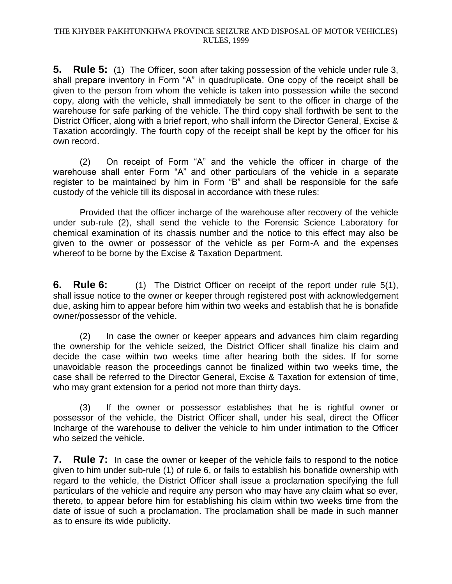**5. Rule 5:** (1) The Officer, soon after taking possession of the vehicle under rule 3, shall prepare inventory in Form "A" in quadruplicate. One copy of the receipt shall be given to the person from whom the vehicle is taken into possession while the second copy, along with the vehicle, shall immediately be sent to the officer in charge of the warehouse for safe parking of the vehicle. The third copy shall forthwith be sent to the District Officer, along with a brief report, who shall inform the Director General, Excise & Taxation accordingly. The fourth copy of the receipt shall be kept by the officer for his own record.

(2) On receipt of Form "A" and the vehicle the officer in charge of the warehouse shall enter Form "A" and other particulars of the vehicle in a separate register to be maintained by him in Form "B" and shall be responsible for the safe custody of the vehicle till its disposal in accordance with these rules:

Provided that the officer incharge of the warehouse after recovery of the vehicle under sub-rule (2), shall send the vehicle to the Forensic Science Laboratory for chemical examination of its chassis number and the notice to this effect may also be given to the owner or possessor of the vehicle as per Form-A and the expenses whereof to be borne by the Excise & Taxation Department.

**6. Rule 6:** (1) The District Officer on receipt of the report under rule 5(1), shall issue notice to the owner or keeper through registered post with acknowledgement due, asking him to appear before him within two weeks and establish that he is bonafide owner/possessor of the vehicle.

(2) In case the owner or keeper appears and advances him claim regarding the ownership for the vehicle seized, the District Officer shall finalize his claim and decide the case within two weeks time after hearing both the sides. If for some unavoidable reason the proceedings cannot be finalized within two weeks time, the case shall be referred to the Director General, Excise & Taxation for extension of time, who may grant extension for a period not more than thirty days.

(3) If the owner or possessor establishes that he is rightful owner or possessor of the vehicle, the District Officer shall, under his seal, direct the Officer Incharge of the warehouse to deliver the vehicle to him under intimation to the Officer who seized the vehicle.

**7. Rule 7:** In case the owner or keeper of the vehicle fails to respond to the notice given to him under sub-rule (1) of rule 6, or fails to establish his bonafide ownership with regard to the vehicle, the District Officer shall issue a proclamation specifying the full particulars of the vehicle and require any person who may have any claim what so ever, thereto, to appear before him for establishing his claim within two weeks time from the date of issue of such a proclamation. The proclamation shall be made in such manner as to ensure its wide publicity.